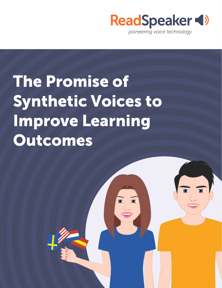

## The Promise of Synthetic Voices to Improve Learning Outcomes

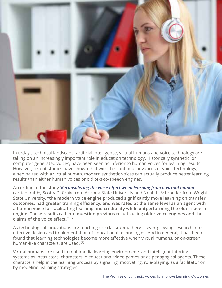

In today's technical landscape, artificial intelligence, virtual humans and voice technology are taking on an increasingly important role in education technology. Historically synthetic, or computer-generated voices, have been seen as inferior to human voices for learning results. However, recent studies have shown that with the continual advances of voice technology, when paired with a virtual human, modern synthetic voices can actually produce better learning results than either human voices or old text-to-speech engines.

According to the study *'Reconsidering the voice effect when learning from a virtual human'* carried out by Scotty D. Craig from Arizona State University and Noah L. Schroeder from Wright State University, **"the modern voice engine produced significantly more learning on transfer outcomes, had greater training efficiency, and was rated at the same level as an agent with a human voice for facilitating learning and credibility while outperforming the older speech engine. These results call into question previous results using older voice engines and the claims of the voice effect."** (1)

As technological innovations are reaching the classroom, there is ever-growing research into effective design and implementation of educational technologies. And in general, it has been found that learning technologies become more effective when virtual humans, or on-screen, human-like characters, are used. (2)

Virtual humans are used in multimedia learning environments and intelligent tutoring systems as instructors, characters in educational video games or as pedagogical agents. These characters help in the learning process by signaling, motivating, role-playing, as a facilitator or by modeling learning strategies.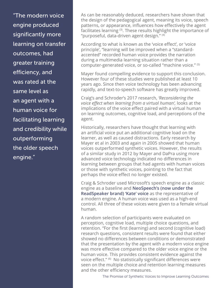"The modern voice engine produced significantly more learning on transfer outcomes, had greater training efficiency, and was rated at the same level as an agent with a human voice for facilitating learning and credibility while outperforming the older speech engine."

As can be reasonably deduced, researchers have shown that the design of the pedagogical agent, meaning its voice, speech patterns, or appearance, influences how effectively the agent facilitates learning (3). These results highlight the importance of "purposeful, data-driven agent design." (4)

According to what is known as the 'voice effect', or 'voice principle', "learning will be improved when a "standardaccented" recorded human voice provides the narration during a multimedia learning situation rather than a computer-generated voice, or so-called "machine voice." (5)

Mayer found compelling evidence to support this conclusion. However four of these studies were published at least 10 years ago. Since then voice technology has been advancing rapidly, and text-to-speech software has greatly improved.

Craig's and Schroder's 2017 research, *'Reconsidering the voice effect when learning from a virtual human',* looks at the implications of the voice effect paired with a virtual human on learning outcomes, cognitive load, and perceptions of the agent.

Historically, researchers have thought that learning with an artificial voice put an additional cognitive load on the learner, as well as caused distractions. Early research by Mayer et al in 2003 and again in 2005 showed that human voices outperformed synthetic voices. However, the results of a similar study in 2012 by Mayer and DaPra using more advanced voice technology indicated no differences in learning between groups that had agents with human voices or those with synthetic voices, pointing to the fact that perhaps the voice effect no longer existed.

Craig & Schroder used Microsoft's speech engine as a classic engine as a baseline and **NeoSpeech's (now under the ReadSpeaker brand) 'Kate' voice** as the representative of a modern engine. A human voice was used as a high-end control. All three of these voices were given to a female virtual human.

A random selection of participants were evaluated on perception, cognitive load, multiple choice questions, and retention. "For the first (learning) and second (cognitive load) research questions, consistent results were found that either showed no differences between conditions or demonstrated that the presentation by the agent with a modern voice engine was more effective compared to the older voice engine or the human voice. This provides consistent evidence against the voice effect." (6) No statistically significant differences were seen on the multiple choice and retention learning measures and the other efficiency measures.

The Promise of Synthetic Voices to Improve Learning Outcomes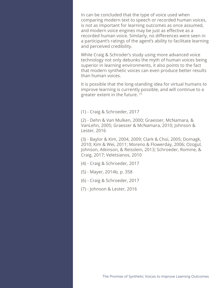In can be concluded that the type of voice used when comparing modern text to speech or recorded human voices, is not as important for learning outcomes as once assumed, and modern voice engines may be just as effective as a recorded human voice. Similarly, no differences were seen in a participant's ratings of the agent's ability to facilitate learning and perceived credibility.

While Craig & Schroder's study using more advanced voice technology not only debunks the myth of human voices being superior in learning environments, it also points to the fact that modern synthetic voices can even produce better results than human voices.

It is possible that the long-standing idea for virtual humans to improve learning is currently possible, and will continue to a greater extent in the future. (7)

(1) - Craig & Schroeder, 2017

(2) - Dehn & Van Mulken, 2000; Graesser, McNamara, & VanLehn, 2005; Graesser & McNamara, 2010; Johnson & Lester, 2016

(3) - Baylor & Kim, 2004, 2009; Clark & Choi, 2005; Domagk, 2010; Kim & Wei, 2011; Moreno & Flowerday, 2006; Ozogul, Johnson, Atkinson, & Reisslein, 2013; Schroeder, Romine, & Craig, 2017; Veletsianos, 2010

- (4) Craig & Schroeder, 2017
- (5) Mayer, 2014b, p. 358
- (6) Craig & Schroeder, 2017
- (7) Johnson & Lester, 2016